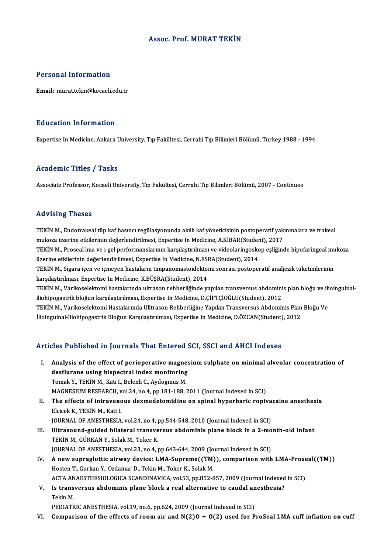## Assoc. Prof.MURAT TEKİN

### Personal Information

Email:murat.tekin@kocaeli.edu.tr

### Education Information

Expertise In Medicine, Ankara University, Tıp Fakültesi, Cerrahi Tıp Bilimleri Bölümü, Turkey 1988 - 1994

## Academic Titles / Tasks

Associate Professor, Kocaeli University, Tıp Fakültesi, Cerrahi Tıp Bilimleri Bölümü, 2007 - Continues

### Advising Theses

TEKİNM., Endotrakeal tüp kaf basıncı regülasyonunda akıllı kaf yöneticisinin postoperatif yakınmalara ve trakeal muk vising misses<br>TEKİN M., Endotrakeal tüp kaf basıncı regülasyonunda akıllı kaf yöneticisinin postoperatif yak<br>mukoza üzerine etkilerinin değerlendirilmesi, Expertise In Medicine, A.KİBAR(Student), 2017<br>TEKİN M. Prossal TEKİN M., Proseal lma ve 1-gel performanslarının karşılaştırılması ve videolaringoskop eşliğinde hipofaringeal mukoza<br>üzerine etkilerinin değerlendirilmesi, Expertise In Medicine, N.ESRA(Student), 2014 mukoza üzerine etkilerinin değerlendirilmesi, Expertise In Medicine, A.KİBAR(Studen<br>TEKİN M., Proseal lma ve 1-gel performanslarının karşılaştırılması ve videolaringosko<br>üzerine etkilerinin değerlendirilmesi, Expertise In TEKİN M., Proseal lma ve 1-gel performanslarının karşılaştırılması ve videolaringoskop eşliğinde hipofaringeal mu<br>üzerine etkilerinin değerlendirilmesi, Expertise In Medicine, N.ESRA(Student), 2014<br>TEKİN M., Sigara içen ve üzerine etkilerinin değerlendirilmesi, Expertise In Medicine, N.ESI<br>TEKİN M., Sigara içen ve içmeyen hastaların timpanomastoidektoı<br>karşılaştırılması, Expertise In Medicine, K.BÜŞRA(Student), 2014<br>TEKİN M. Varikaselektemi TEKİN M., Sigara içen ve içmeyen hastaların timpanomastoidektomi sonrası postoperatif analjezik tüketimlerinin<br>karşılaştırılması, Expertise In Medicine, K.BÜŞRA(Student), 2014<br>TEKİN M., Varikoselektomi hastalarında ultraso karşılaştırılması, Expertise In Medicine, K.BÜŞRA(Student), 2014<br>TEKİN M., Varikoselektomi hastalarında ultrason rehberliğinde yapılan transversus abdomini<br>iliohipogastrik bloğun karşılaştırılması, Expertise In Medicine, D TEKİN M., Varikoselektomi hastalarında ultrason rehberliğinde yapılan transversus abdominis plan bloğu ve ili<br>iliohipogastrik bloğun karşılaştırılması, Expertise In Medicine, D.ÇİFTÇİOĞLU(Student), 2012<br>TEKİN M., Varikosel iliohipogastrik bloğun karşılaştırılması, Expertise In Medicine, D.ÇİFTÇİOĞLU(Student), 2012<br>TEKİN M., Varikoselektomi Hastalarında Ulltrason Rehberliğine Yapılan Transversus Abdominis Plan Bloğu Ve<br>İlioinguinal-İliohipoga

# Articles Published in Journals That Entered SCI, SSCI and AHCI Indexes

- rticles Published in Journals That Entered SCI, SSCI and AHCI Indexes<br>I. Analysis of the effect of perioperative magnesium sulphate on minimal alveolar concentration of Analysis of the effect of perioperative magnes<br>desflurane using bispectral index monitoring<br>Temel: V. TEMN M. Keti L. Belenii G. Andermus M. Analysis of the effect of perioperative magne<br>desflurane using bispectral index monitoring<br>Tomak Y., TEKİN M., Kati I., Belenli C., Aydogmus M.<br>MAGNESUIM RESEARCH vol 24 no 4 nn 191 199 1 desflurane using bispectral index monitoring<br>Tomak Y., TEKİN M., Kati I., Belenli C., Aydogmus M.<br>MAGNESIUM RESEARCH, vol.24, no.4, pp.181-188, 2011 (Journal Indexed in SCI)<br>The effects of intraveneus dermedatemidine en en Tomak Y., TEKİN M., Kati I., Belenli C., Aydogmus M.<br>MAGNESIUM RESEARCH, vol.24, no.4, pp.181-188, 2011 (Journal Indexed in SCI)<br>II. The effects of intravenous dexmedetomidine on spinal hyperbaric ropivacaine anesthesi
- MAGNESIUM RESEARCH, v<br>The effects of intravence<br>Elcicek K., TEKİN M., Kati I.<br>IOUPNAL OF ANESTHESIA The effects of intravenous dexmedetomidine on spinal hyperbaric ropiva<br>Elcicek K., TEKİN M., Kati I.<br>JOURNAL OF ANESTHESIA, vol.24, no.4, pp.544-548, 2010 (Journal Indexed in SCI)<br>Illtressund suided bilateral transversus a

- III. Ultrasound-guided bilateral transversus abdominis plane block in a 2-month-old infant<br>TEKİN M., GÜRKAN Y., Solak M., Toker K. JOURNAL OF ANESTHESIA, vol.24, no.4, <sub>I</sub><br>Ultrasound-guided bilateral transve<br>TEKİN M., GÜRKAN Y., Solak M., Toker K.<br>JOUPNAL OF ANESTHESIA vol.22, no.4, I JOURNAL OF ANESTHESIA, vol.23, no.4, pp.643-644, 2009 (Journal Indexed in SCI) TEKİN M., GÜRKAN Y., Solak M., Toker K.<br>JOURNAL OF ANESTHESIA, vol.23, no.4, pp.643-644, 2009 (Journal Indexed in SCI)<br>IV. A new supraglottic airway device: LMA-Supreme((TM)), comparison with LMA-Proseal((TM))<br>Hesten T. Gu
- JOURNAL OF ANESTHESIA, vol.23, no.4, pp.643-644, 2009 (Jo<br>A new supraglottic airway device: LMA-Supreme((TM)<br>Hosten T., Gurkan Y., Ozdamar D., Tekin M., Toker K., Solak M.<br>ACTA ANAESTHESIOLOGICA SCANDINAVICA, vol.52, pp.95 A new supraglottic airway device: LMA-Supreme((TM)), comparison with LMA-Prose<br>Hosten T., Gurkan Y., Ozdamar D., Tekin M., Toker K., Solak M.<br>ACTA ANAESTHESIOLOGICA SCANDINAVICA, vol.53, pp.852-857, 2009 (Journal Indexed i Hosten T., Gurkan Y., Ozdamar D., Tekin M., Toker K., Solak M.<br>ACTA ANAESTHESIOLOGICA SCANDINAVICA, vol.53, pp.852-857, 2009 (Journal Indexed<br>V. Is transversus abdominis plane block a real alternative to caudal anesthesia?
- ACTA AN<br>I<mark>s trans</mark><br>Tekin M.<br>PEDIATE V. Is transversus abdominis plane block a real alternative to caudal anesthesia?<br>Tekin M.<br>PEDIATRIC ANESTHESIA, vol.19, no.6, pp.624, 2009 (Journal Indexed in SCI)

VI. Comparison of the effects of room air and  $N(2)0 + O(2)$  used for ProSeal LMA cuff inflation on cuff